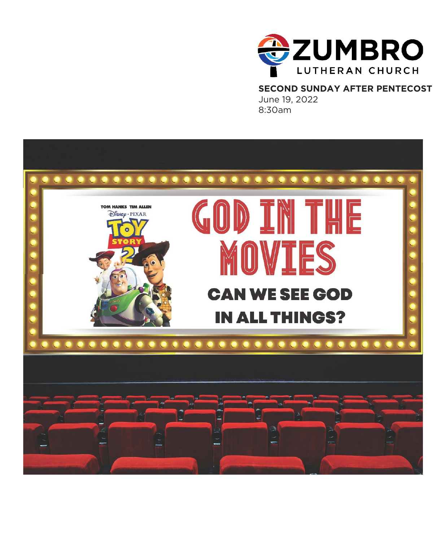

 **SECOND SUNDAY AFTER PENTECOST** June 19, 2022 8:30am

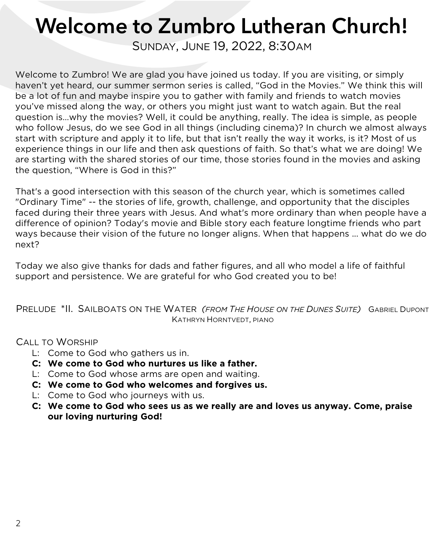# Welcome to Zumbro Lutheran Church!

SUNDAY, JUNE 19, 2022, 8:30AM

Welcome to Zumbro! We are glad you have joined us today. If you are visiting, or simply haven't yet heard, our summer sermon series is called, "God in the Movies." We think this will be a lot of fun and maybe inspire you to gather with family and friends to watch movies you've missed along the way, or others you might just want to watch again. But the real question is…why the movies? Well, it could be anything, really. The idea is simple, as people who follow Jesus, do we see God in all things (including cinema)? In church we almost always start with scripture and apply it to life, but that isn't really the way it works, is it? Most of us experience things in our life and then ask questions of faith. So that's what we are doing! We are starting with the shared stories of our time, those stories found in the movies and asking the question, "Where is God in this?"

That's a good intersection with this season of the church year, which is sometimes called "Ordinary Time" -- the stories of life, growth, challenge, and opportunity that the disciples faced during their three years with Jesus. And what's more ordinary than when people have a difference of opinion? Today's movie and Bible story each feature longtime friends who part ways because their vision of the future no longer aligns. When that happens ... what do we do next?

Today we also give thanks for dads and father figures, and all who model a life of faithful support and persistence. We are grateful for who God created you to be!

PRELUDE \*II. SAILBOATS ON THE WATER *(FROM THE HOUSE ON THE DUNES SUITE)* GABRIEL DUPONT KATHRYN HORNTVEDT, PIANO

CALL TO WORSHIP

- L: Come to God who gathers us in.
- **C: We come to God who nurtures us like a father.**
- L: Come to God whose arms are open and waiting.
- **C: We come to God who welcomes and forgives us.**
- L: Come to God who journeys with us.
- **C: We come to God who sees us as we really are and loves us anyway. Come, praise our loving nurturing God!**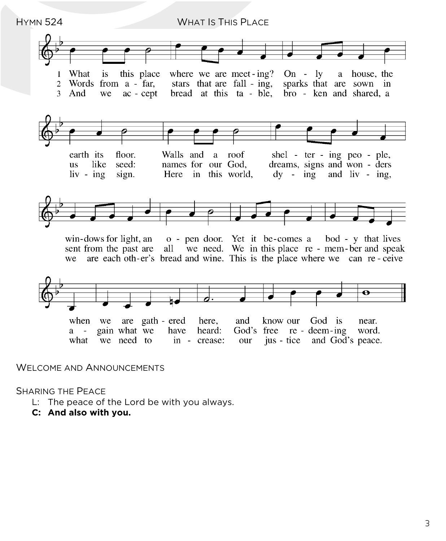

#### WELCOME AND ANNOUNCEMENTS

SHARING THE PEACE

- L: The peace of the Lord be with you always.
- **C: And also with you.**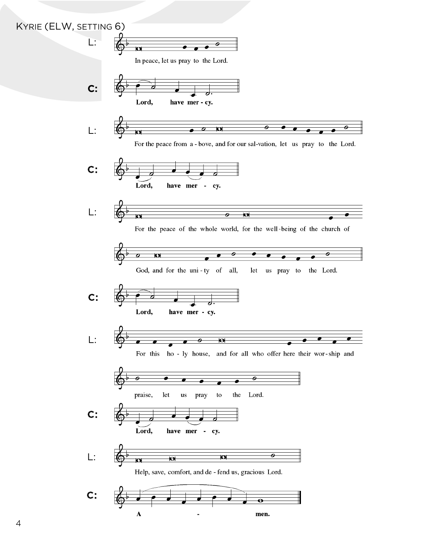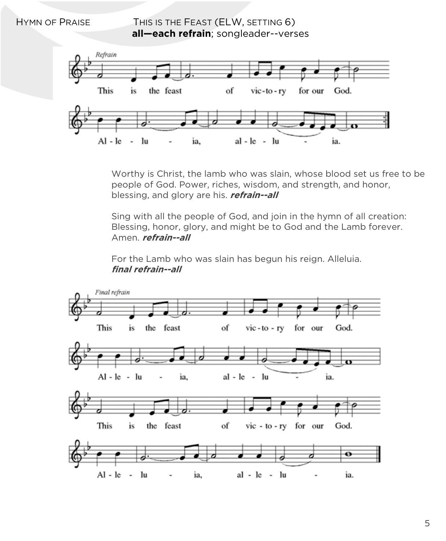HYMN OF PRAISE THIS IS THE FEAST (ELW, SETTING 6)  **all—each refrain**; songleader--verses



Worthy is Christ, the lamb who was slain, whose blood set us free to be people of God. Power, riches, wisdom, and strength, and honor, blessing, and glory are his. **refrain--all**

Sing with all the people of God, and join in the hymn of all creation: Blessing, honor, glory, and might be to God and the Lamb forever. Amen. **refrain--all**

For the Lamb who was slain has begun his reign. Alleluia. **final refrain--all** 

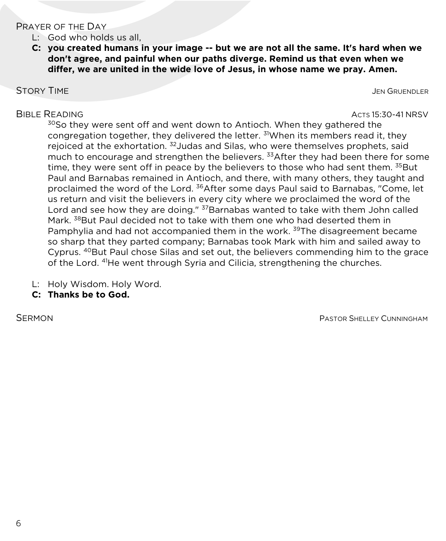#### PRAYER OF THE DAY

- L: God who holds us all,
- **C: you created humans in your image -- but we are not all the same. It's hard when we don't agree, and painful when our paths diverge. Remind us that even when we differ, we are united in the wide love of Jesus, in whose name we pray. Amen.**

STORY TIME **STORY TIME** 

BIBLE READING ACTS 15:30-41 NRSV

<sup>30</sup>So they were sent off and went down to Antioch. When they gathered the congregation together, they delivered the letter. <sup>31</sup>When its members read it, they rejoiced at the exhortation. 32Judas and Silas, who were themselves prophets, said much to encourage and strengthen the believers. <sup>33</sup>After they had been there for some time, they were sent off in peace by the believers to those who had sent them. <sup>35</sup>But Paul and Barnabas remained in Antioch, and there, with many others, they taught and proclaimed the word of the Lord. <sup>36</sup>After some days Paul said to Barnabas, "Come, let us return and visit the believers in every city where we proclaimed the word of the Lord and see how they are doing." <sup>37</sup>Barnabas wanted to take with them John called Mark. <sup>38</sup>But Paul decided not to take with them one who had deserted them in Pamphylia and had not accompanied them in the work. <sup>39</sup>The disagreement became so sharp that they parted company; Barnabas took Mark with him and sailed away to Cyprus. 40But Paul chose Silas and set out, the believers commending him to the grace of the Lord. 41He went through Syria and Cilicia, strengthening the churches.

- L: Holy Wisdom. Holy Word.
- **C: Thanks be to God.**

SERMON **PASTOR SHELLEY CUNNINGHAM**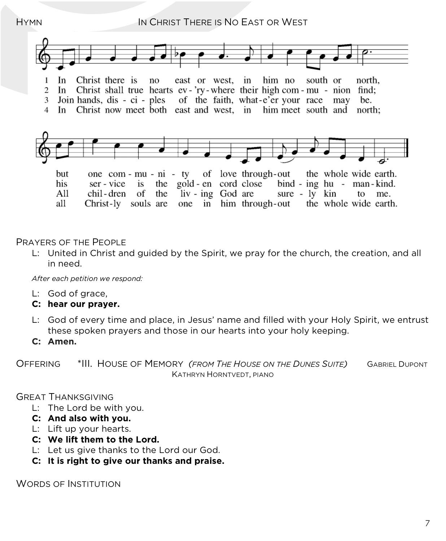## HYMN **IN CHRIST THERE IS NO EAST OR WEST**



#### PRAYERS OF THE PEOPLE

L: United in Christ and guided by the Spirit, we pray for the church, the creation, and all in need.

*After each petition we respond:*

- L: God of grace,
- **C: hear our prayer.**
- L: God of every time and place, in Jesus' name and filled with your Holy Spirit, we entrust these spoken prayers and those in our hearts into your holy keeping.
- **C: Amen.**

OFFERING \*III. HOUSE OF MEMORY *(FROM THE HOUSE ON THE DUNES SUITE)* GABRIEL DUPONT KATHRYN HORNTVEDT, PIANO

#### GREAT THANKSGIVING

- L: The Lord be with you.
- **C: And also with you.**
- L: Lift up your hearts.
- **C: We lift them to the Lord.**
- L: Let us give thanks to the Lord our God.
- **C: It is right to give our thanks and praise.**

WORDS OF INSTITUTION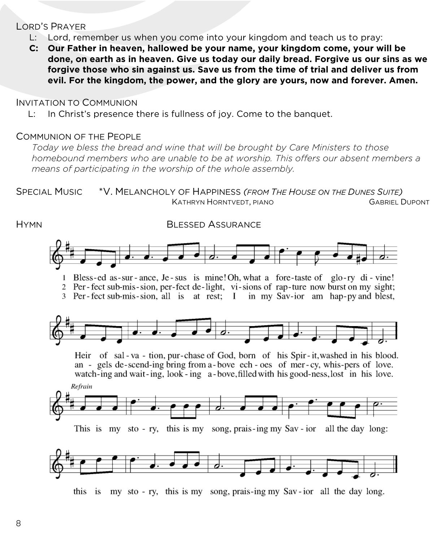#### LORD'S PRAYER

- L: Lord, remember us when you come into your kingdom and teach us to pray:
- **C: Our Father in heaven, hallowed be your name, your kingdom come, your will be done, on earth as in heaven. Give us today our daily bread. Forgive us our sins as we forgive those who sin against us. Save us from the time of trial and deliver us from evil. For the kingdom, the power, and the glory are yours, now and forever. Amen.**

#### INVITATION TO COMMUNION

L: In Christ's presence there is fullness of joy. Come to the banquet.

#### COMMUNION OF THE PEOPLE

*Today we bless the bread and wine that will be brought by Care Ministers to those homebound members who are unable to be at worship. This offers our absent members a means of participating in the worship of the whole assembly.*



this is my sto-ry, this is my song, prais-ing my Sav-ior all the day long.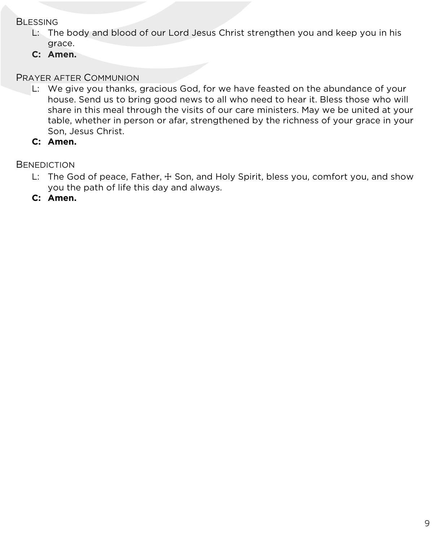#### **BLESSING**

- L: The body and blood of our Lord Jesus Christ strengthen you and keep you in his grace.
- **C: Amen.**

### PRAYER AFTER COMMUNION

- L: We give you thanks, gracious God, for we have feasted on the abundance of your house. Send us to bring good news to all who need to hear it. Bless those who will share in this meal through the visits of our care ministers. May we be united at your table, whether in person or afar, strengthened by the richness of your grace in your Son, Jesus Christ.
- **C: Amen.**

**BENEDICTION** 

- L: The God of peace, Father,  $\pm$  Son, and Holy Spirit, bless you, comfort you, and show you the path of life this day and always.
- **C: Amen.**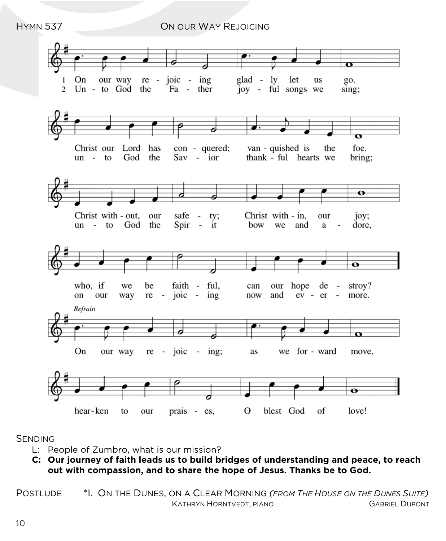HYMN 537 ON OUR WAY REJOICING



#### SENDING

- L: People of Zumbro, what is our mission?
- **C: Our journey of faith leads us to build bridges of understanding and peace, to reach out with compassion, and to share the hope of Jesus. Thanks be to God.**

POSTLUDE \*I. ON THE DUNES, ON A CLEAR MORNING *(FROM THE HOUSE ON THE DUNES SUITE)* KATHRYN HORNTVEDT, PIANO GABRIEL DUPONT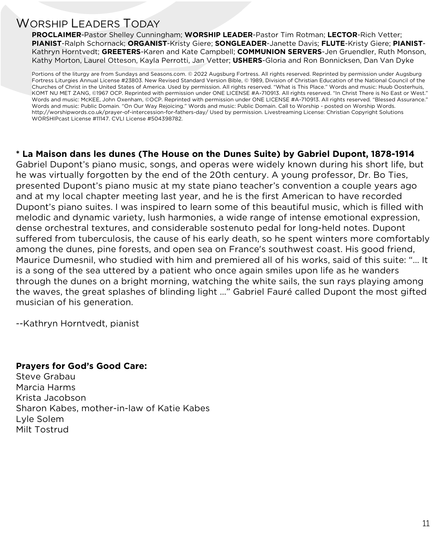# WORSHIP LEADERS TODAY

**PROCLAIMER**-Pastor Shelley Cunningham; **WORSHIP LEADER**-Pastor Tim Rotman; **LECTOR**-Rich Vetter; **PIANIST**-Ralph Schornack; **ORGANIST**-Kristy Giere; **SONGLEADER**-Janette Davis; **FLUTE**-Kristy Giere; **PIANIST**-Kathryn Horntvedt; **GREETERS**-Karen and Kate Campbell; **COMMUNION SERVERS**-Jen Gruendler, Ruth Monson, Kathy Morton, Laurel Otteson, Kayla Perrotti, Jan Vetter; **USHERS**-Gloria and Ron Bonnicksen, Dan Van Dyke

Portions of the liturgy are from Sundays and Seasons.com. © 2022 Augsburg Fortress. All rights reserved. Reprinted by permission under Augsburg Fortress Liturgies Annual License #23803. New Revised Standard Version Bible, © 1989, Division of Christian Education of the National Council of the Churches of Christ in the United States of America. Used by permission. All rights reserved. "What is This Place." Words and music: Huub Oosterhuis, KOMT NU MET ZANG, ©1967 OCP. Reprinted with permission under ONE LICENSE #A-710913. All rights reserved. "In Christ There is No East or West." Words and music: McKEE, John Oxenham, ©OCP. Reprinted with permission under ONE LICENSE #A-710913. All rights reserved. "Blessed Assurance." Words and music: Public Domain. "On Our Way Rejoicing." Words and music: Public Domain. Call to Worship - posted on Worship Words. http://worshipwords.co.uk/prayer-of-intercession-for-fathers-day/ Used by permission. Livestreaming License: Christian Copyright Solutions WORSHIPcast License #11147. CVLI License #504398782.

#### **\* La Maison dans les dunes (The House on the Dunes Suite) by Gabriel Dupont, 1878-1914**

Gabriel Dupont's piano music, songs, and operas were widely known during his short life, but he was virtually forgotten by the end of the 20th century. A young professor, Dr. Bo Ties, presented Dupont's piano music at my state piano teacher's convention a couple years ago and at my local chapter meeting last year, and he is the first American to have recorded Dupont's piano suites. I was inspired to learn some of this beautiful music, which is filled with melodic and dynamic variety, lush harmonies, a wide range of intense emotional expression, dense orchestral textures, and considerable sostenuto pedal for long-held notes. Dupont suffered from tuberculosis, the cause of his early death, so he spent winters more comfortably among the dunes, pine forests, and open sea on France's southwest coast. His good friend, Maurice Dumesnil, who studied with him and premiered all of his works, said of this suite: "… It is a song of the sea uttered by a patient who once again smiles upon life as he wanders through the dunes on a bright morning, watching the white sails, the sun rays playing among the waves, the great splashes of blinding light …" Gabriel Fauré called Dupont the most gifted musician of his generation.

--Kathryn Horntvedt, pianist

#### **Prayers for God's Good Care:**

Steve Grabau Marcia Harms Krista Jacobson Sharon Kabes, mother-in-law of Katie Kabes Lyle Solem Milt Tostrud